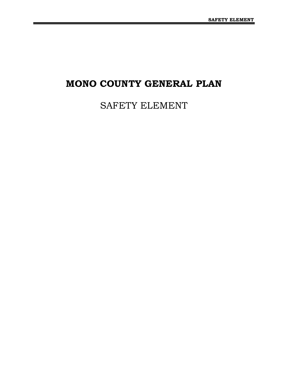## **MONO COUNTY GENERAL PLAN**

# SAFETY ELEMENT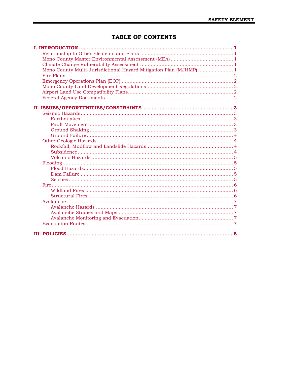## **TABLE OF CONTENTS**

| Mono County Multi-Jurisdictional Hazard Mitigation Plan (MJHMP)  1 |  |
|--------------------------------------------------------------------|--|
|                                                                    |  |
|                                                                    |  |
|                                                                    |  |
|                                                                    |  |
|                                                                    |  |
|                                                                    |  |
|                                                                    |  |
|                                                                    |  |
|                                                                    |  |
|                                                                    |  |
|                                                                    |  |
|                                                                    |  |
|                                                                    |  |
|                                                                    |  |
|                                                                    |  |
|                                                                    |  |
|                                                                    |  |
|                                                                    |  |
|                                                                    |  |
|                                                                    |  |
|                                                                    |  |
|                                                                    |  |
|                                                                    |  |
|                                                                    |  |
|                                                                    |  |
|                                                                    |  |
|                                                                    |  |
|                                                                    |  |
|                                                                    |  |
|                                                                    |  |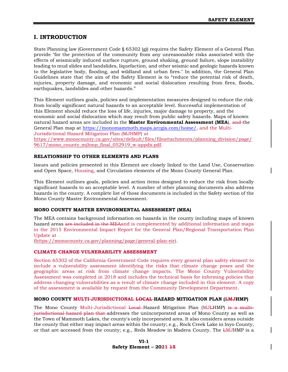## <span id="page-4-0"></span>**I. INTRODUCTION**

State Planning law (Government Code § 65302 (g)) requires the Safety Element of a General Plan provide "for the protection of the community from any unreasonable risks associated with the effects of seismically induced surface rupture, ground shaking, ground failure, slope instability leading to mud slides and landslides, liquefaction, and other seismic and geologic hazards known to the legislative body, flooding, and wildland and urban fires." In addition, the General Plan Guidelines state that the aim of the Safety Element is to "reduce the potential risk of death, injuries, property damage, and economic and social dislocation resulting from fires, floods, earthquakes, landslides and other hazards."

This Element outlines goals, policies and implementation measures designed to reduce the risk from locally significant natural hazards to an acceptable level. Successful implementation of this Element should reduce the loss of life, injuries, major damage to property, and the economic and social dislocation which may result from public safety hazards. Maps of known natural hazard areas are included in the **Master Environmental Assessment (MEA**), and the General Plan map at [https://monomammoth.maps.arcgis.com/home/,](https://monomammoth.maps.arcgis.com/home/) and the Multi-Jurisdictional Hazard Mitigation Plan (MJHMP) at [https://www.monocounty.ca.gov/sites/default/files/fileattachments/planning\\_division/page/](https://www.monocounty.ca.gov/sites/default/files/fileattachments/planning_division/page/9617/mono_county_mjhmp_final_052919_w-appdx.pdf) [9617/mono\\_county\\_mjhmp\\_final\\_052919\\_w-appdx.pdf.](https://www.monocounty.ca.gov/sites/default/files/fileattachments/planning_division/page/9617/mono_county_mjhmp_final_052919_w-appdx.pdf)

## <span id="page-4-1"></span>**RELATIONSHIP TO OTHER ELEMENTS AND PLANS**

Issues and policies presented in this Element are closely linked to the Land Use, Conservation and Open Space, Housing, and Circulation elements of the Mono County General Plan.

This Element outlines goals, policies and action items designed to reduce the risk from locally significant hazards to an acceptable level. A number of other planning documents also address hazards in the county. A complete list of those documents is included in the Safety section of the Mono County Master Environmental Assessment.

#### <span id="page-4-2"></span>**MONO COUNTY MASTER ENVIRONMENTAL ASSESSMENT (MEA)**

The MEA contains background information on hazards in the county including maps of known hazard areas are included in the MEA and is complemented by additional information and maps in the 2015 Environmental Impact Report for the General Plan/Regional Transportation Plan Update at

[\(https://monocounty.ca.gov/planning/page/general-plan-eir\)](https://monocounty.ca.gov/planning/page/general-plan-eir).

#### <span id="page-4-3"></span>**CLIMATE CHANGE VULNERABILITY ASSESSMENT**

Section 65302 of the California Government Code requires every general plan safety element to include a vulnerability assessment identifying the risks that climate change poses and the geographic areas at risk from climate change impacts. The Mono County Vulnerability Assessment was completed in 2018 and includes the technical basis for informing policies that address changing vulnerabilities as a result of climate change included in this element. A copy of the assessment is available by request from the Community Development Department.

#### <span id="page-4-4"></span>**MONO COUNTY MULTI-JURISDICTIONAL LOCAL HAZARD MITIGATION PLAN (LMJHMP)**

The Mono County Multi-Jurisdictional Local Hazard Mitigation Plan (MJLHMP) is a multijurisdictional hazard plan that addresses the unincorporated areas of Mono County as well as the Town of Mammoth Lakes, the county's only incorporated area. It also considers areas outside the county that either may impact areas within the county; e.g., Rock Creek Lake in Inyo County, or that are accessed from the county; e.g., Reds Meadow in Madera County. The LMJHMP is a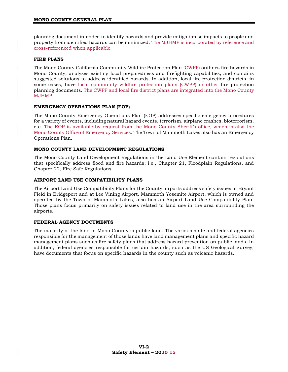planning document intended to identify hazards and provide mitigation so impacts to people and property from identified hazards can be minimized. The MJHMP is incorporated by reference and cross-referenced when applicable.

## <span id="page-5-0"></span>**FIRE PLANS**

The Mono County California Community Wildfire Protection Plan (CWPP) outlines fire hazards in Mono County, analyzes existing local preparedness and firefighting capabilities, and contains suggested solutions to address identified hazards. In addition, local fire protection districts, in some cases, have local community wildfire protection plans (CWPP) or other fire protection planning documents. The CWPP and local fire district plans are integrated into the Mono County MJHMP.

## <span id="page-5-1"></span>**EMERGENCY OPERATIONS PLAN (EOP)**

The Mono County Emergency Operations Plan (EOP) addresses specific emergency procedures for a variety of events, including natural hazard events, terrorism, airplane crashes, bioterrorism, etc. The EOP is available by request from the Mono County Sheriff's office, which is also the Mono County Office of Emergency Services. The Town of Mammoth Lakes also has an Emergency Operations Plan.

## <span id="page-5-2"></span>**MONO COUNTY LAND DEVELOPMENT REGULATIONS**

The Mono County Land Development Regulations in the Land Use Element contain regulations that specifically address flood and fire hazards; i.e., Chapter 21, Floodplain Regulations, and Chapter 22, Fire Safe Regulations.

## <span id="page-5-3"></span>**AIRPORT LAND USE COMPATIBILITY PLANS**

The Airport Land Use Compatibility Plans for the County airports address safety issues at Bryant Field in Bridgeport and at Lee Vining Airport. Mammoth Yosemite Airport, which is owned and operated by the Town of Mammoth Lakes, also has an Airport Land Use Compatibility Plan. Those plans focus primarily on safety issues related to land use in the area surrounding the airports.

#### <span id="page-5-4"></span>**FEDERAL AGENCY DOCUMENTS**

The majority of the land in Mono County is public land. The various state and federal agencies responsible for the management of those lands have land management plans and specific hazard management plans such as fire safety plans that address hazard prevention on public lands. In addition, federal agencies responsible for certain hazards, such as the US Geological Survey, have documents that focus on specific hazards in the county such as volcanic hazards.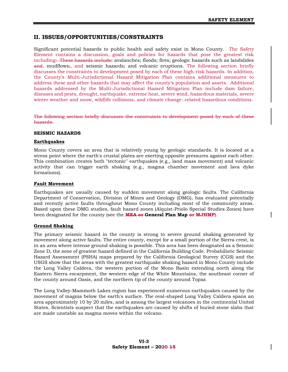## <span id="page-6-0"></span>**II. ISSUES/OPPORTUNITIES/CONSTRAINTS**

Significant potential hazards to public health and safety exist in Mono County. The Safety Element contains a discussion, goals and policies for hazards that pose the greatest risk including: These hazards include: avalanches; floods; fires; geologic hazards such as landslides and, mudflows;, and seismic hazards; and volcanic eruptions. The following section briefly discusses the constraints to development posed by each of these high-risk hazards. In addition, the County's Multi-Jurisdictional Hazard Mitigation Plan contains additional measures to address these and other hazards that may affect the county's population and assets. Additional hazards addressed by the Multi-Jurisdictional Hazard Mitigation Plan include dam failure, diseases and pests, drought, earthquake, extreme heat, severe wind, hazardous materials, severe winter weather and snow, wildlife collisions, and climate change- related hazardous conditions.

The following section briefly discusses the constraints to development posed by each of these hazards.

#### <span id="page-6-1"></span>**SEISMIC HAZARDS**

#### <span id="page-6-2"></span>**Earthquakes**

Mono County covers an area that is relatively young by geologic standards. It is located at a stress point where the earth's crustal plates are exerting opposite pressures against each other. This combination creates both "tectonic" earthquakes (e.g., land mass movement) and volcanic activity that can trigger earth shaking (e.g., magma chamber movement and lava dyke formations).

#### <span id="page-6-3"></span>**Fault Movement**

Earthquakes are usually caused by sudden movement along geologic faults. The California Department of Conservation, Division of Mines and Geology (DMG), has evaluated potentially and recently active faults throughout Mono County including most of the community areas. Based upon these DMG studies, fault hazard zones (Alquist-Priolo Special Studies Zones) have been designated for the county (see the **MEA or General Plan Map or MJHMP**).

#### <span id="page-6-4"></span>**Ground Shaking**

The primary seismic hazard in the county is strong to severe ground shaking generated by movement along active faults. The entire county, except for a small portion of the Sierra crest, is in an area where intense ground shaking is possible. This area has been designated as a Seismic Zone D, the zone of greatest hazard defined in the California Building Code. Probabilistic Seismic Hazard Assessment (PSHA) maps prepared by the California Geological Survey (CGS) and the USGS show that the areas with the greatest earthquake shaking hazard in Mono County include the Long Valley Caldera, the western portion of the Mono Basin extending north along the Eastern Sierra escarpment, the western edge of the White Mountains, the southeast corner of the county around Oasis, and the northern tip of the county around Topaz.

The Long Valley-Mammoth Lakes region has experienced numerous earthquakes caused by the movement of magma below the earth's surface. The oval-shaped Long Valley Caldera spans an area approximately 10 by 20 miles, and is among the largest volcanoes in the continental United States. Scientists suspect that the earthquakes are caused by shifts of buried stone slabs that are made unstable as magma moves within the volcano.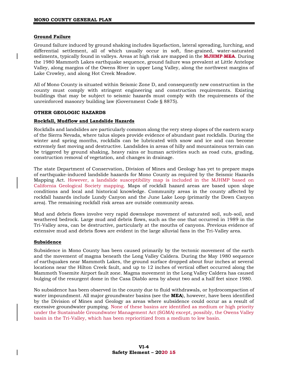#### <span id="page-7-0"></span>**Ground Failure**

Ground failure induced by ground shaking includes liquefaction, lateral spreading, lurching, and differential settlement, all of which usually occur in soft, fine-grained, water-saturated sediments, typically found in valleys. Areas at high risk are mapped in the **MJHMP MEA**. During the 1980 Mammoth Lakes earthquake sequence, ground failure was prevalent at Little Antelope Valley, along margins of the Owens River in upper Long Valley, along the northwest margins of Lake Crowley, and along Hot Creek Meadow.

All of Mono County is situated within Seismic Zone D, and consequently new construction in the county must comply with stringent engineering and construction requirements. Existing buildings that may be subject to seismic hazards must comply with the requirements of the unreinforced masonry building law (Government Code § 8875).

#### <span id="page-7-1"></span>**OTHER GEOLOGIC HAZARDS**

#### <span id="page-7-2"></span>**Rockfall, Mudflow and Landslide Hazards**

Rockfalls and landslides are particularly common along the very steep slopes of the eastern scarp of the Sierra Nevada, where talus slopes provide evidence of abundant past rockfalls. During the winter and spring months, rockfalls can be lubricated with snow and ice and can become extremely fast moving and destructive. Landslides in areas of hilly and mountainous terrain can be triggered by ground shaking, heavy rains or human activities such as road cuts, grading, construction removal of vegetation, and changes in drainage.

The state Department of Conservation, Division of Mines and Geology has yet to prepare maps of earthquake-induced landslide hazards for Mono County as required by the Seismic Hazards Mapping Act. However, a landslide susceptibility map is included in the MJHMP based on California Geological Society mapping. Maps of rockfall hazard areas are based upon slope conditions and local and historical knowledge. Community areas in the county affected by rockfall hazards include Lundy Canyon and the June Lake Loop (primarily the Down Canyon area). The remaining rockfall risk areas are outside community areas.

Mud and debris flows involve very rapid downslope movement of saturated soil, sub-soil, and weathered bedrock. Large mud and debris flows, such as the one that occurred in 1989 in the Tri-Valley area, can be destructive, particularly at the mouths of canyons. Previous evidence of extensive mud and debris flows are evident in the large alluvial fans in the Tri-Valley area.

#### <span id="page-7-3"></span>**Subsidence**

Subsidence in Mono County has been caused primarily by the tectonic movement of the earth and the movement of magma beneath the Long Valley Caldera. During the May 1980 sequence of earthquakes near Mammoth Lakes, the ground surface dropped about four inches at several locations near the Hilton Creek fault, and up to 12 inches of vertical offset occurred along the Mammoth Yosemite Airport fault zone. Magma movement in the Long Valley Caldera has caused bulging of the resurgent dome in the Casa Diablo area by about two and a half feet since 1980.

No subsidence has been observed in the county due to fluid withdrawals, or hydrocompaction of water impoundment. All major groundwater basins (see the **MEA**), however, have been identified by the Division of Mines and Geology as areas where subsidence could occur as a result of excessive groundwater pumping. None of these basins are identified as medium or high priority under the Sustainable Groundwater Management Act (SGMA) except, possibly, the Owens Valley basin in the Tri-Valley, which has been reprioritized from a medium to low basin.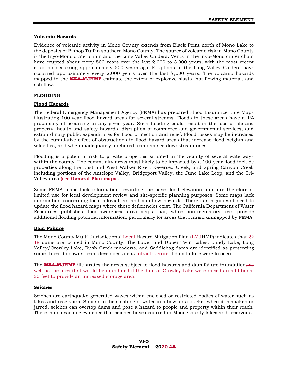#### <span id="page-8-0"></span>**Volcanic Hazards**

Evidence of volcanic activity in Mono County extends from Black Point north of Mono Lake to the deposits of Bishop Tuff in southern Mono County. The source of volcanic risk in Mono County is the Inyo-Mono crater chain and the Long Valley Caldera. Vents in the Inyo-Mono crater chain have erupted about every 500 years over the last 2,000 to 3,000 years, with the most recent eruption occurring approximately 500 years ago. Eruptions in the Long Valley Caldera have occurred approximately every 2,000 years over the last 7,000 years. The volcanic hazards mapped in the **MEA MJHMP** estimate the extent of explosive blasts, hot flowing material, and ash flow.

#### <span id="page-8-1"></span>**FLOODING**

#### <span id="page-8-2"></span>**Flood Hazards**

The Federal Emergency Management Agency (FEMA) has prepared Flood Insurance Rate Maps illustrating 100-year flood hazard areas for several streams. Floods in these areas have a 1% probability of occurring in any given year. Such flooding could result in the loss of life and property, health and safety hazards, disruption of commerce and governmental services, and extraordinary public expenditures for flood protection and relief. Flood losses may be increased by the cumulative effect of obstructions in flood hazard areas that increase flood heights and velocities, and when inadequately anchored, can damage downstream uses.

Flooding is a potential risk to private properties situated in the vicinity of several waterways within the county. The community areas most likely to be impacted by a 100-year flood include properties along the East and West Walker River, Reversed Creek, and Spring Canyon Creek including portions of the Antelope Valley, Bridgeport Valley, the June Lake Loop, and the Tri-Valley area (see **General Plan maps**).

Some FEMA maps lack information regarding the base flood elevation, and are therefore of limited use for local development review and site-specific planning purposes. Some maps lack information concerning local alluvial fan and mudflow hazards. There is a significant need to update the flood hazard maps where these deficiencies exist. The California Department of Water Resources publishes flood-awareness area maps that, while non-regulatory, can provide additional flooding potential information, particularly for areas that remain unmapped by FEMA.

#### <span id="page-8-3"></span>**Dam Failure**

The Mono County Multi-Jurisdictional <del>Local H</del>azard Mitigation Plan (LMJHMP) indicates that 22 18 dams are located in Mono County. The Lower and Upper Twin Lakes, Lundy Lake, Long Valley/Crowley Lake, Rush Creek meadows, and Saddlebag dams are identified as presenting some threat to downstream developed areas infrastructure if dam failure were to occur.

The **MEA MJHMP** illustrates the areas subject to flood hazards and dam failure inundation, as well as the area that would be inundated if the dam at Crowley Lake were raised an additional 20 feet to provide an increased storage area.

#### <span id="page-8-4"></span>**Seiches**

Seiches are earthquake-generated waves within enclosed or restricted bodies of water such as lakes and reservoirs. Similar to the sloshing of water in a bowl or a bucket when it is shaken or jarred, seiches can overtop dams and pose a hazard to people and property within their reach. There is no available evidence that seiches have occurred in Mono County lakes and reservoirs.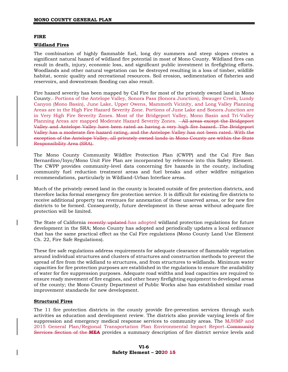#### <span id="page-9-0"></span>**FIRE**

#### <span id="page-9-1"></span>**Wildland Fires**

The combination of highly flammable fuel, long dry summers and steep slopes creates a significant natural hazard of wildland fire potential in most of Mono County. Wildland fires can result in death, injury, economic loss, and significant public investment in firefighting efforts. Woodlands and other natural vegetation can be destroyed resulting in a loss of timber, wildlife habitat, scenic quality and recreational resources. Soil erosion, sedimentation of fisheries and reservoirs, and downstream flooding can also result.

Fire hazard severity has been mapped by Cal Fire for most of the privately owned land in Mono County. Portions of the Antelope Valley, Sonora Pass (Sonora Junction), Swauger Creek, Lundy Canyon (Mono Basin), June Lake, Upper Owens, Mammoth Vicinity, and Long Valley Planning Areas are in the High Fire Hazard Severity Zone. Portions of June Lake and Sonora Junction are in Very High Fire Severity Zones. Most of the Bridgeport Valley, Mono Basin and Tri-Valley Planning Areas are mapped Moderate Hazard Severity Zones.  $-All$  areas except the Bridgeport Valley and Antelope Valley have been rated as having a very high fire hazard. The Bridgeport Valley has a moderate fire hazard rating, and the Antelope Valley has not been rated. With the exception of the Antelope Valley, all privately owned lands in Mono County are within the State Responsibility Area (SRA).

The Mono County Community Wildfire Protection Plan (CWPP) and the Cal Fire San Bernardino/Inyo/Mono Unit Fire Plan are incorporated by reference into this Safety Element. The CWPP provides community-level data concerning fire hazards in the county, including community fuel reduction treatment areas and fuel breaks and other wildfire mitigation recommendations, particularly in Wildland-Urban Interface areas.

Much of the privately owned land in the county is located outside of fire protection districts, and therefore lacks formal emergency fire protection service. It is difficult for existing fire districts to receive additional property tax revenues for annexation of these unserved areas, or for new fire districts to be formed. Consequently, future development in these areas without adequate fire protection will be limited.

The State of California recently updated has adopted wildland protection regulations for future development in the SRA; Mono County has adopted and periodically updates a local ordinance that has the same practical effect as the Cal Fire regulations (Mono County Land Use Element Ch. 22, Fire Safe Regulations).

These fire safe regulations address requirements for adequate clearance of flammable vegetation around individual structures and clusters of structures and construction methods to prevent the spread of fire from the wildland to structures, and from structures to wildlands. Minimum water capacities for fire protection purposes are established in the regulations to ensure the availability of water for fire suppression purposes. Adequate road widths and load capacities are required to ensure ready movement of fire engines, and other heavy firefighting equipment to developed areas of the county; the Mono County Department of Public Works also has established similar road improvement standards for new development.

#### <span id="page-9-2"></span>**Structural Fires**

The 11 fire protection districts in the county provide fire-prevention services through such activities as education and development review. The districts also provide varying levels of fire suppression and emergency medical response services to community areas. The MJHMP and 2015 General Plan/Regional Transportation Plan Environmental Impact Report–Community Services Section of the **MEA** provides a summary description of fire district service levels and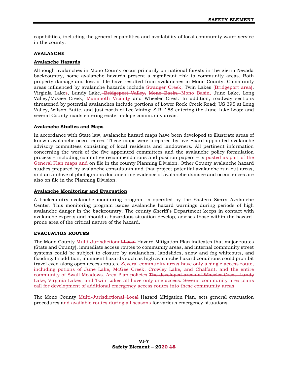capabilities, including the general capabilities and availability of local community water service in the county.

#### <span id="page-10-0"></span>**AVALANCHE**

#### <span id="page-10-1"></span>**Avalanche Hazards**

Although avalanches in Mono County occur primarily on national forests in the Sierra Nevada backcountry, some avalanche hazards present a significant risk to community areas. Both property damage and loss of life have resulted from avalanches in Mono County. Community areas influenced by avalanche hazards include Swauger Creek, Twin Lakes (Bridgeport area), Virginia Lakes, Lundy Lake, Bridgeport Valley, Mono Basin, Mono Basin, June Lake, Long Valley/McGee Creek, Mammoth Vicinity and Wheeler Crest. In addition, roadway sections threatened by potential avalanches include portions of Lower Rock Creek Road; US 395 at Long Valley, Wilson Butte, and just north of Lee Vining; S.R. 158 entering the June Lake Loop; and several County roads entering eastern-slope community areas.

#### <span id="page-10-2"></span>**Avalanche Studies and Maps**

In accordance with State law, avalanche hazard maps have been developed to illustrate areas of known avalanche occurrences. These maps were prepared by five Board-appointed avalanche advisory committees consisting of local residents and landowners. All pertinent information concerning the work of the five appointed committees and the avalanche policy formulation process – including committee recommendations and position papers – is posted as part of the General Plan maps and on file in the county Planning Division. Other County avalanche hazard studies prepared by avalanche consultants and that project potential avalanche run-out areas, and an archive of photographs documenting evidence of avalanche damage and occurrences are also on file in the Planning Division.

#### <span id="page-10-3"></span>**Avalanche Monitoring and Evacuation**

A backcountry avalanche monitoring program is operated by the Eastern Sierra Avalanche Center. This monitoring program issues avalanche hazard warnings during periods of high avalanche danger in the backcountry. The county Sheriff's Department keeps in contact with avalanche experts and should a hazardous situation develop, advises those within the hazardprone area of the critical nature of the hazard.

#### <span id="page-10-4"></span>**EVACUATION ROUTES**

The Mono County Multi-Jurisdictional Local Hazard Mitigation Plan indicates that major routes (State and County), immediate access routes to community areas, and internal community street systems could be subject to closure by avalanches, landslides, snow and fog whiteouts, and flooding. In addition, imminent hazards such as high avalanche hazard conditions could prohibit travel even along open access routes. Several community areas have only a single access route, including potions of June Lake, McGee Creek, Crowley Lake, and Chalfant, and the entire community of Swall Meadows. Area Plan policies The developed areas of Wheeler Crest, Lundy Lake, Virginia Lakes, and Twin Lakes all have only one access. Several community area plans call for development of additional emergency access routes into these community areas.

The Mono County Multi-Jurisdictional Local Hazard Mitigation Plan, sets general evacuation procedures and available routes during all seasons for various emergency situations.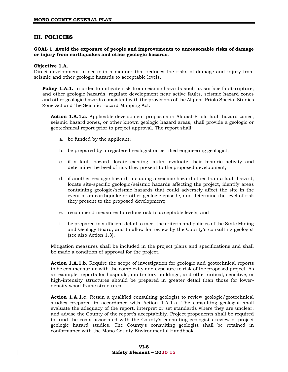## <span id="page-11-0"></span>**III. POLICIES**

#### **GOAL 1. Avoid the exposure of people and improvements to unreasonable risks of damage or injury from earthquakes and other geologic hazards.**

#### **Objective 1.A.**

Direct development to occur in a manner that reduces the risks of damage and injury from seismic and other geologic hazards to acceptable levels.

**Policy 1.A.1.** In order to mitigate risk from seismic hazards such as surface fault-rupture, and other geologic hazards, regulate development near active faults, seismic hazard zones and other geologic hazards consistent with the provisions of the Alquist-Priolo Special Studies Zone Act and the Seismic Hazard Mapping Act.

**Action 1.A.1.a.** Applicable development proposals in Alquist-Priolo fault hazard zones, seismic hazard zones, or other known geologic hazard areas, shall provide a geologic or geotechnical report prior to project approval. The report shall:

- a. be funded by the applicant;
- b. be prepared by a registered geologist or certified engineering geologist;
- c. if a fault hazard, locate existing faults, evaluate their historic activity and determine the level of risk they present to the proposed development;
- d. if another geologic hazard, including a seismic hazard other than a fault hazard, locate site-specific geologic/seismic hazards affecting the project, identify areas containing geologic/seismic hazards that could adversely affect the site in the event of an earthquake or other geologic episode, and determine the level of risk they present to the proposed development;
- e. recommend measures to reduce risk to acceptable levels; and
- f. be prepared in sufficient detail to meet the criteria and policies of the State Mining and Geology Board, and to allow for review by the County's consulting geologist (see also Action 1.3).

Mitigation measures shall be included in the project plans and specifications and shall be made a condition of approval for the project.

Action 1.A.1.b. Require the scope of investigation for geologic and geotechnical reports to be commensurate with the complexity and exposure to risk of the proposed project. As an example, reports for hospitals, multi-story buildings, and other critical, sensitive, or high-intensity structures should be prepared in greater detail than those for lowerdensity wood-frame structures.

**Action 1.A.1.c.** Retain a qualified consulting geologist to review geologic/geotechnical studies prepared in accordance with Action 1.A.1.a. The consulting geologist shall evaluate the adequacy of the report, interpret or set standards where they are unclear, and advise the County of the report's acceptability. Project proponents shall be required to fund the costs associated with the County's consulting geologist's review of project geologic hazard studies. The County's consulting geologist shall be retained in conformance with the Mono County Environmental Handbook.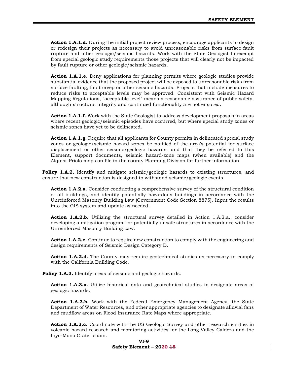**Action 1.A.1.d.** During the initial project review process, encourage applicants to design or redesign their projects as necessary to avoid unreasonable risks from surface fault rupture and other geologic/seismic hazards. Work with the State Geologist to exempt from special geologic study requirements those projects that will clearly not be impacted by fault rupture or other geologic/seismic hazards.

**Action 1.A.1.e.** Deny applications for planning permits where geologic studies provide substantial evidence that the proposed project will be exposed to unreasonable risks from surface faulting, fault creep or other seismic hazards. Projects that include measures to reduce risks to acceptable levels may be approved. Consistent with Seismic Hazard Mapping Regulations, "acceptable level" means a reasonable assurance of public safety, although structural integrity and continued functionality are not ensured.

Action 1.A.1.f. Work with the State Geologist to address development proposals in areas where recent geologic/seismic episodes have occurred, but where special study zones or seismic zones have yet to be delineated.

Action 1.A.1.g. Require that all applicants for County permits in delineated special study zones or geologic/seismic hazard zones be notified of the area's potential for surface displacement or other seismic/geologic hazards, and that they be referred to this Element, support documents, seismic hazard-zone maps (when available) and the Alquist-Priolo maps on file in the county Planning Division for further information.

**Policy 1.A.2.** Identify and mitigate seismic/geologic hazards to existing structures, and ensure that new construction is designed to withstand seismic/geologic events.

**Action 1.A.2.a.** Consider conducting a comprehensive survey of the structural condition of all buildings, and identify potentially hazardous buildings in accordance with the Unreinforced Masonry Building Law (Government Code Section 8875). Input the results into the GIS system and update as needed.

**Action 1.A.2.b.** Utilizing the structural survey detailed in Action 1.A.2.a., consider developing a mitigation program for potentially unsafe structures in accordance with the Unreinforced Masonry Building Law.

**Action 1.A.2.c.** Continue to require new construction to comply with the engineering and design requirements of Seismic Design Category D.

**Action 1.A.2.d.** The County may require geotechnical studies as necessary to comply with the California Building Code.

**Policy 1.A.3.** Identify areas of seismic and geologic hazards.

**Action 1.A.3.a.** Utilize historical data and geotechnical studies to designate areas of geologic hazards.

**Action 1.A.3.b.** Work with the Federal Emergency Management Agency, the State Department of Water Resources, and other appropriate agencies to designate alluvial fans and mudflow areas on Flood Insurance Rate Maps where appropriate.

**Action 1.A.3.c.** Coordinate with the US Geologic Survey and other research entities in volcanic hazard research and monitoring activities for the Long Valley Caldera and the Inyo-Mono Crater chain.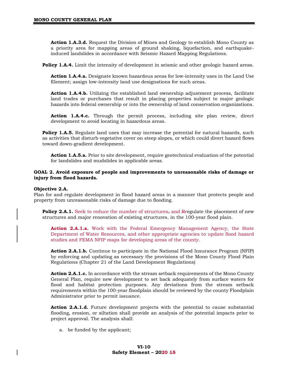**Action 1.A.3.d.** Request the Division of Mines and Geology to establish Mono County as a priority area for mapping areas of ground shaking, liquefaction, and earthquakeinduced landslides in accordance with Seismic Hazard Mapping Regulations.

**Policy 1.A.4.** Limit the intensity of development in seismic and other geologic hazard areas.

**Action 1.A.4.a.** Designate known hazardous areas for low-intensity uses in the Land Use Element; assign low-intensity land use designations for such areas.

Action 1.A.4.b. Utilizing the established land ownership adjustment process, facilitate land trades or purchases that result in placing properties subject to major geologic hazards into federal ownership or into the ownership of land conservation organizations.

**Action 1.A.4.c.** Through the permit process, including site plan review, direct development to avoid locating in hazardous areas.

**Policy 1.A.5.** Regulate land uses that may increase the potential for natural hazards, such as activities that disturb vegetative cover on steep slopes, or which could divert hazard flows toward down-gradient development.

**Action 1.A.5.a.** Prior to site development, require geotechnical evaluation of the potential for landslides and mudslides in applicable areas.

#### **GOAL 2. Avoid exposure of people and improvements to unreasonable risks of damage or injury from flood hazards.**

#### **Objective 2.A.**

Plan for and regulate development in flood hazard areas in a manner that protects people and property from unreasonable risks of damage due to flooding.

**Policy 2.A.1.** Seek to reduce the number of structures, and Rregulate the placement of new structures and major renovation of existing structures, in the 100-year flood plain.

**Action 2.A.1.a.** Work with the Federal Emergency Management Agency, the State Department of Water Resources, and other appropriate agencies to update flood hazard studies and FEMA NFIP maps for developing areas of the county.

**Action 2.A.1.b.** Continue to participate in the National Flood Insurance Program (NFIP) by enforcing and updating as necessary the provisions of the Mono County Flood Plain Regulations (Chapter 21 of the Land Development Regulations)

Action 2.A.1.c. In accordance with the stream setback requirements of the Mono County General Plan, require new development to set back adequately from surface waters for flood and habitat protection purposes. Any deviations from the stream setback requirements within the 100-year floodplain should be reviewed by the county Floodplain Administrator prior to permit issuance.

**Action 2.A.1.d.** Future development projects with the potential to cause substantial flooding, erosion, or siltation shall provide an analysis of the potential impacts prior to project approval. The analysis shall:

a. be funded by the applicant;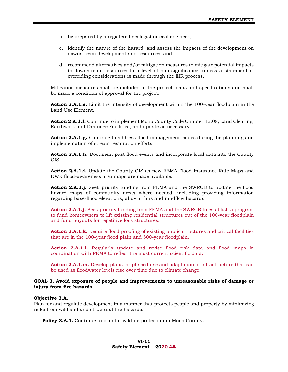- b. be prepared by a registered geologist or civil engineer;
- c. identify the nature of the hazard, and assess the impacts of the development on downstream development and resources; and
- d. recommend alternatives and/or mitigation measures to mitigate potential impacts to downstream resources to a level of non-significance, unless a statement of overriding considerations is made through the EIR process.

Mitigation measures shall be included in the project plans and specifications and shall be made a condition of approval for the project.

**Action 2.A.1.e.** Limit the intensity of development within the 100-year floodplain in the Land Use Element.

**Action 2.A.1.f.** Continue to implement Mono County Code Chapter 13.08, Land Clearing, Earthwork and Drainage Facilities, and update as necessary.

**Action 2.A.1.g.** Continue to address flood management issues during the planning and implementation of stream restoration efforts.

**Action 2.A.1.h.** Document past flood events and incorporate local data into the County GIS.

**Action 2.A.1.i.** Update the County GIS as new FEMA Flood Insurance Rate Maps and DWR flood-awareness area maps are made available.

**Action 2.A.1.j.** Seek priority funding from FEMA and the SWRCB to update the flood hazard maps of community areas where needed, including providing information regarding base-flood elevations, alluvial fans and mudflow hazards.

**Action 2.A.1.j.** Seek priority funding from FEMA and the SWRCB to establish a program to fund homeowners to lift existing residential structures out of the 100-year floodplain and fund buyouts for repetitive loss structures.

**Action 2.A.1.k.** Require flood proofing of existing public structures and critical facilities that are in the 100-year flood plain and 500-year floodplain.

Action 2.A.1.1. Regularly update and revise flood risk data and flood maps in coordination with FEMA to reflect the most current scientific data.

**Action 2.A.1.m.** Develop plans for phased use and adaptation of infrastructure that can be used as floodwater levels rise over time due to climate change.

#### **GOAL 3. Avoid exposure of people and improvements to unreasonable risks of damage or injury from fire hazards.**

#### **Objective 3.A.**

Plan for and regulate development in a manner that protects people and property by minimizing risks from wildland and structural fire hazards.

**Policy 3.A.1.** Continue to plan for wildfire protection in Mono County.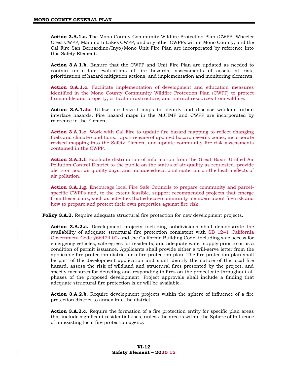**Action 3.A.1.a.** The Mono County Community Wildfire Protection Plan (CWPP) Wheeler Crest CWPP, Mammoth Lakes CWPP, and any other CWPPs within Mono County, and the Cal Fire San Bernardino/Inyo/Mono Unit Fire Plan are incorporated by reference into this Safety Element.

**Action 3.A.1.b.** Ensure that the CWPP and Unit Fire Plan are updated as needed to contain up-to-date evaluations of fire hazards, assessments of assets at risk, prioritization of hazard mitigation actions, and implementation and monitoring elements.

**Action 3.A.1.c.** Facilitate implementation of development and education measures identified in the Mono County Community Wildfire Protection Plan (CWPP) to protect human life and property, critical infrastructure, and natural resources from wildfire.

**Action 3.A.1.dc.** Utilize fire hazard maps to identify and disclose wildland urban interface hazards. Fire hazard maps in the MJHMP and CWPP are incorporated by reference in the Element.

**Action 3.A.1.e.** Work with Cal Fire to update fire hazard mapping to reflect changing fuels and climate conditions. Upon release of updated hazard severity zones, incorporate revised mapping into the Safety Element and update community fire risk assessments contained in the CWPP.

**Action 3.A.1.f.** Facilitate distribution of information from the Great Basin Unified Air Pollution Control District to the public on the status of air quality as requested, provide alerts on poor air quality days, and include educational materials on the health effects of air pollution.

**Action 3.A.1.g.** Encourage local Fire Safe Councils to prepare community and parcelspecific CWPPs and, to the extent feasible, support recommended projects that emerge from these plans, such as activities that educate community members about fire risk and how to prepare and protect their own properties against fire risk.

**Policy 3.A.2.** Require adequate structural fire protection for new development projects.

**Action 3.A.2.a.** Development projects including subdivisions shall demonstrate the availability of adequate structural fire protection consistent with SB 1241 California Government Code §66474.02 and the California Building Code, including safe access for emergency vehicles, safe egress for residents, and adequate water supply prior to or as a condition of permit issuance. Applicants shall provide either a will-serve letter from the applicable fire protection district or a fire protection plan. The fire protection plan shall be part of the development application and shall identify the nature of the local fire hazard, assess the risk of wildland and structural fires presented by the project, and specify measures for detecting and responding to fires on the project site throughout all phases of the proposed development. Project approvals shall include a finding that adequate structural fire protection is or will be available.

**Action 3.A.2.b.** Require development projects within the sphere of influence of a fire protection district to annex into the district.

Action 3.A.2.c. Require the formation of a fire protection entity for specific plan areas that include significant residential uses, unless the area is within the Sphere of Influence of an existing local fire protection agency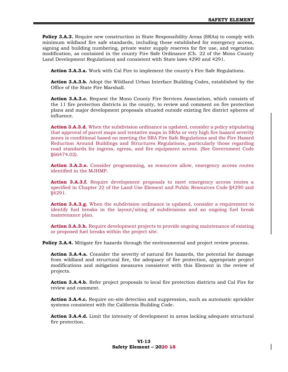**Policy 3.A.3.** Require new construction in State Responsibility Areas (SRAs) to comply with minimum wildland fire safe standards, including those established for emergency access, signing and building numbering, private water supply reserves for fire use, and vegetation modification, as contained in the county Fire Safe Ordinance (Ch. 22 of the Mono County Land Development Regulations) and consistent with State laws 4290 and 4291.

**Action 3.A.3.a.** Work with Cal Fire to implement the county's Fire Safe Regulations.

**Action 3.A.3.b.** Adopt the Wildland Urban Interface Building Codes, established by the Office of the State Fire Marshall.

**Action 3.A.3.c.** Request the Mono County Fire Services Association, which consists of the 11 fire protection districts in the county, to review and comment on fire protection plans and major development proposals situated outside existing fire district spheres of influence.

**Action 3.A.3.d.** When the subdivision ordinance is updated, consider a policy stipulating that approval of parcel maps and tentative maps in SRAs or very high fire hazard severity zones is conditional based on meeting the SRA Fire Safe Regulations and the Fire Hazard Reduction Around Buildings and Structures Regulations, particularly those regarding road standards for ingress, egress, and fire equipment access. (See Government Code §66474.02).

Action 3.A.3.e. Consider programming, as resources allow, emergency access routes identified in the MJHMP.

**Action 3.A.3.f.** Require development proposals to meet emergency access routes a specified in Chapter 22 of the Land Use Element and Public Resources Code §4290 and §4291.

**Action 3.A.3.g.** When the subdivision ordinance is updated, consider a requirement to identify fuel breaks in the layout/siting of subdivisions and an ongoing fuel break maintenance plan.

**Action 3.A.3.h.** Require development projects to provide ongoing maintenance of existing or proposed fuel breaks within the project site.

**Policy 3.A.4.** Mitigate fire hazards through the environmental and project review process.

**Action 3.A.4.a.** Consider the severity of natural fire hazards, the potential for damage from wildland and structural fire, the adequacy of fire protection, appropriate project modifications and mitigation measures consistent with this Element in the review of projects.

**Action 3.A.4.b.** Refer project proposals to local fire protection districts and Cal Fire for review and comment.

**Action 3.A.4.c.** Require on-site detection and suppression, such as automatic sprinkler systems consistent with the California Building Code.

**Action 3.A.4.d.** Limit the intensity of development in areas lacking adequate structural fire protection.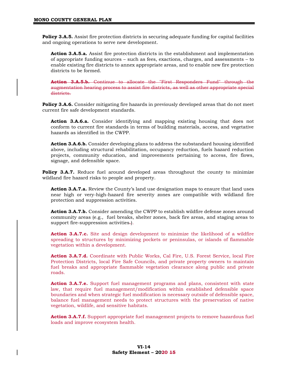**Policy 3.A.5.** Assist fire protection districts in securing adequate funding for capital facilities and ongoing operations to serve new development.

**Action 3.A.5.a.** Assist fire protection districts in the establishment and implementation of appropriate funding sources – such as fees, exactions, charges, and assessments – to enable existing fire districts to annex appropriate areas, and to enable new fire protection districts to be formed.

**Action 3.A.5.b.** Continue to allocate the "First Responders Fund" through the augmentation hearing process to assist fire districts, as well as other appropriate special districts.

**Policy 3.A.6.** Consider mitigating fire hazards in previously developed areas that do not meet current fire safe development standards.

**Action 3.A.6.a.** Consider identifying and mapping existing housing that does not conform to current fire standards in terms of building materials, access, and vegetative hazards as identified in the CWPP.

**Action 3.A.6.b.** Consider developing plans to address the substandard housing identified above, including structural rehabilitation, occupancy reduction, fuels hazard reduction projects, community education, and improvements pertaining to access, fire flows, signage, and defensible space.

**Policy 3.A.7.** Reduce fuel around developed areas throughout the county to minimize wildland fire hazard risks to people and property.

**Action 3.A.7.a.** Review the County's land use designation maps to ensure that land uses near high or very-high-hazard fire severity zones are compatible with wildland fire protection and suppression activities.

**Action 3.A.7.b.** Consider amending the CWPP to establish wildfire defense zones around community areas (e.g., fuel breaks, shelter zones, back fire areas, and staging areas to support fire-suppression activities.

**Action 3.A.7.c.** Site and design development to minimize the likelihood of a wildfire spreading to structures by minimizing pockets or peninsulas, or islands of flammable vegetation within a development.

**Action 3.A.7.d.** Coordinate with Public Works, Cal Fire, U.S. Forest Service, local Fire Protection Districts, local Fire Safe Councils, and private property owners to maintain fuel breaks and appropriate flammable vegetation clearance along public and private roads.

**Action 3.A.7.e.** Support fuel management programs and plans, consistent with state law, that require fuel management/modification within established defensible space boundaries and when strategic fuel modification is necessary outside of defensible space, balance fuel management needs to protect structures with the preservation of native vegetation, wildlife, and sensitive habitats.

Action 3.A.7.f. Support appropriate fuel management projects to remove hazardous fuel loads and improve ecosystem health.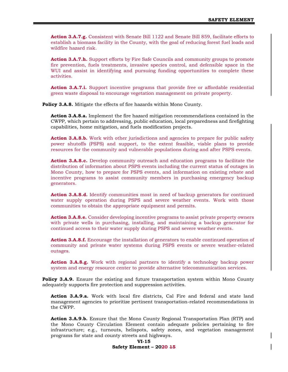**Action 3.A.7.g.** Consistent with Senate Bill 1122 and Senate Bill 859, facilitate efforts to establish a biomass facility in the County, with the goal of reducing forest fuel loads and wildfire hazard risk.

**Action 3.A.7.h.** Support efforts by Fire Safe Councils and community groups to promote fire prevention, fuels treatments, invasive species control, and defensible space in the WUI and assist in identifying and pursuing funding opportunities to complete these activities.

**Action 3.A.7.i.** Support incentive programs that provide free or affordable residential green waste disposal to encourage vegetation management on private property.

**Policy 3.A.8.** Mitigate the effects of fire hazards within Mono County.

**Action 3.A.8.a.** Implement the fire hazard mitigation recommendations contained in the CWPP, which pertain to addressing, public education, local preparedness and firefighting capabilities, home mitigation, and fuels modification projects.

**Action 3.A.8.b.** Work with other jurisdictions and agencies to prepare for public safety power shutoffs (PSPS) and support, to the extent feasible, viable plans to provide resources for the community and vulnerable populations during and after PSPS events.

**Action 3.A.8.c.** Develop community outreach and education programs to facilitate the distribution of information about PSPS events including the current status of outages in Mono County, how to prepare for PSPS events, and information on existing rebate and incentive programs to assist community members in purchasing emergency backup generators.

**Action 3.A.8.d.** Identify communities most in need of backup generators for continued water supply operation during PSPS and severe weather events. Work with those communities to obtain the appropriate equipment and permits.

**Action 3.A.8.e.** Consider developing incentive programs to assist private property owners with private wells in purchasing, installing, and maintaining a backup generator for continued access to their water supply during PSPS and severe weather events.

**Action 3.A.8.f.** Encourage the installation of generators to enable continued operation of community and private water systems during PSPS events or severe weather-related outages.

**Action 3.A.8.g.** Work with regional partners to identify a technology backup power system and energy resource center to provide alternative telecommunication services.

**Policy 3.A.9.** Ensure the existing and future transportation system within Mono County adequately supports fire protection and suppression activities.

**Action 3.A.9.a.** Work with local fire districts, Cal Fire and federal and state land management agencies to prioritize pertinent transportation-related recommendations in the CWPP.

**Action 3.A.9.b.** Ensure that the Mono County Regional Transportation Plan (RTP) and the Mono County Circulation Element contain adequate policies pertaining to fire infrastructure; e.g., turnouts, helispots, safety zones, and vegetation management programs for state and county streets and highways.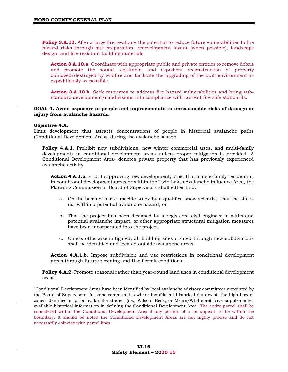Policy 3.A.10. After a large fire, evaluate the potential to reduce future vulnerabilities to fire hazard risks through site preparation, redevelopment layout (when possible), landscape design, and fire-resistant building materials.

**Action 3.A.10.a.** Coordinate with appropriate public and private entities to remove debris and promote the sound, equitable, and expedient reconstruction of property damaged/destroyed by wildfire and facilitate the upgrading of the built environment as expeditiously as possible.

Action 3.A.10.b. Seek resources to address fire hazard vulnerabilities and bring substandard development/subdivisions into compliance with current fire safe standards.

#### **GOAL 4. Avoid exposure of people and improvements to unreasonable risks of damage or injury from avalanche hazards.**

#### **Objective 4.A.**

Limit development that attracts concentrations of people in historical avalanche paths (Conditional Development Areas) during the avalanche season.

**Policy 4.A.1.** Prohibit new subdivisions, new winter commercial uses, and multi-family developments in conditional development areas unless proper mitigation is provided. A Conditional Development Area<sup>1</sup> denotes private property that has previously experienced avalanche activity.

**Action 4.A.1.a.** Prior to approving new development, other than single-family residential, in conditional development areas or within the Twin Lakes Avalanche Influence Area, the Planning Commission or Board of Supervisors shall either find:

- a. On the basis of a site-specific study by a qualified snow scientist, that the site is not within a potential avalanche hazard; or
- b. That the project has been designed by a registered civil engineer to withstand potential avalanche impact, or other appropriate structural mitigation measures have been incorporated into the project.
- c. Unless otherwise mitigated, all building sites created through new subdivisions shall be identified and located outside avalanche areas.

**Action 4.A.1.b.** Impose subdivision and use restrictions in conditional development areas through future rezoning and Use Permit conditions.

**Policy 4.A.2.** Promote seasonal rather than year-round land uses in conditional development areas.

<sup>1</sup>Conditional Development Areas have been identified by local avalanche advisory committees appointed by the Board of Supervisors. In some communities where insufficient historical data exist, the high-hazard zones identified in prior avalanche studies (i.e., Wilson, Beck, or Mears/Whitmore) have supplemented available historical information in defining the Conditional Development Area. The entire parcel shall be considered within the Conditional Development Area if any portion of a lot appears to be within the boundary. It should be noted the Conditional Development Areas are not highly precise and do not necessarily coincide with parcel lines.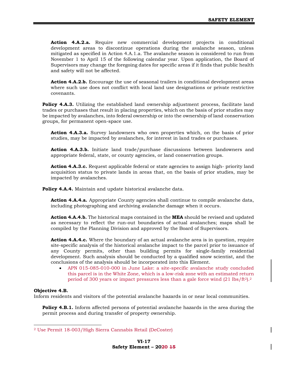**Action 4.A.2.a.** Require new commercial development projects in conditional development areas to discontinue operations during the avalanche season, unless mitigated as specified in Action 4.A.1.a. The avalanche season is considered to run from November 1 to April 15 of the following calendar year. Upon application, the Board of Supervisors may change the foregoing dates for specific areas if it finds that public health and safety will not be affected.

Action 4.A.2.b. Encourage the use of seasonal trailers in conditional development areas where such use does not conflict with local land use designations or private restrictive covenants.

**Policy 4.A.3.** Utilizing the established land ownership adjustment process, facilitate land trades or purchases that result in placing properties, which on the basis of prior studies may be impacted by avalanches, into federal ownership or into the ownership of land conservation groups, for permanent open-space use.

**Action 4.A.3.a.** Survey landowners who own properties which, on the basis of prior studies, may be impacted by avalanches, for interest in land trades or purchases.

**Action 4.A.3.b.** Initiate land trade/purchase discussions between landowners and appropriate federal, state, or county agencies, or land conservation groups.

**Action 4.A.3.c.** Request applicable federal or state agencies to assign high- priority land acquisition status to private lands in areas that, on the basis of prior studies, may be impacted by avalanches.

**Policy 4.A.4.** Maintain and update historical avalanche data.

**Action 4.A.4.a.** Appropriate County agencies shall continue to compile avalanche data, including photographing and archiving avalanche damage when it occurs.

**Action 4.A.4.b.** The historical maps contained in the **MEA** should be revised and updated as necessary to reflect the run-out boundaries of actual avalanches; maps shall be compiled by the Planning Division and approved by the Board of Supervisors.

**Action 4.A.4.c.** Where the boundary of an actual avalanche area is in question, require site-specific analysis of the historical avalanche impact to the parcel prior to issuance of any County permits, other than building permits for single-family residential development. Such analysis should be conducted by a qualified snow scientist, and the conclusions of the analysis should be incorporated into this Element.

• APN 015-085-010-000 in June Lake: a site-specific avalanche study concluded this parcel is in the White Zone, which is a low-risk zone with an estimated return period of 300 years or impact pressures less than a gale force wind  $(21 \text{ lbs/ft}^2)^2$ .

#### **Objective 4.B.**

Inform residents and visitors of the potential avalanche hazards in or near local communities.

**Policy 4.B.1.** Inform affected persons of potential avalanche hazards in the area during the permit process and during transfer of property ownership.

<sup>2</sup> Use Permit 18-003/High Sierra Cannabis Retail (DeCoster)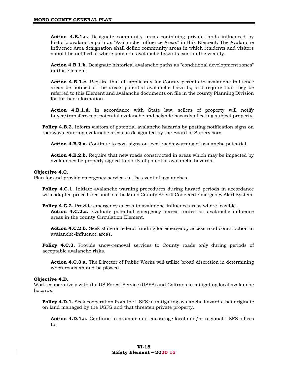**Action 4.B.1.a.** Designate community areas containing private lands influenced by historic avalanche path as "Avalanche Influence Areas" in this Element. The Avalanche Influence Area designation shall define community areas in which residents and visitors should be notified of where potential avalanche hazards exist in the vicinity.

Action 4.B.1.b. Designate historical avalanche paths as "conditional development zones" in this Element.

**Action 4.B.1.c.** Require that all applicants for County permits in avalanche influence areas be notified of the area's potential avalanche hazards, and require that they be referred to this Element and avalanche documents on file in the county Planning Division for further information.

**Action 4.B.1.d.** In accordance with State law, sellers of property will notify buyer/transferees of potential avalanche and seismic hazards affecting subject property.

**Policy 4.B.2.** Inform visitors of potential avalanche hazards by posting notification signs on roadways entering avalanche areas as designated by the Board of Supervisors.

**Action 4.B.2.a.** Continue to post signs on local roads warning of avalanche potential.

**Action 4.B.2.b.** Require that new roads constructed in areas which may be impacted by avalanches be properly signed to notify of potential avalanche hazards.

#### **Objective 4.C.**

Plan for and provide emergency services in the event of avalanches.

**Policy 4.C.1.** Initiate avalanche warning procedures during hazard periods in accordance with adopted procedures such as the Mono County Sheriff Code Red Emergency Alert System.

**Policy 4.C.2.** Provide emergency access to avalanche-influence areas where feasible. **Action 4.C.2.a.** Evaluate potential emergency access routes for avalanche influence areas in the county Circulation Element.

Action 4.C.2.b. Seek state or federal funding for emergency access road construction in avalanche-influence areas.

**Policy 4.C.3.** Provide snow-removal services to County roads only during periods of acceptable avalanche risks.

**Action 4.C.3.a.** The Director of Public Works will utilize broad discretion in determining when roads should be plowed.

#### **Objective 4.D.**

Work cooperatively with the US Forest Service (USFS) and Caltrans in mitigating local avalanche hazards.

**Policy 4.D.1.** Seek cooperation from the USFS in mitigating avalanche hazards that originate on land managed by the USFS and that threaten private property.

**Action 4.D.1.a.** Continue to promote and encourage local and/or regional USFS offices to: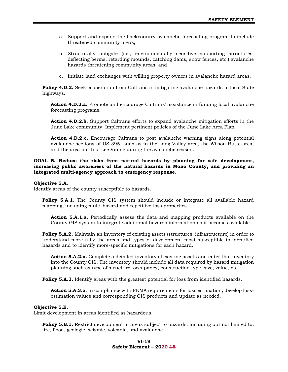- a. Support and expand the backcountry avalanche forecasting program to include threatened community areas;
- b. Structurally mitigate (i.e., environmentally sensitive supporting structures, deflecting berms, retarding mounds, catching dams, snow fences, etc.) avalanche hazards threatening community areas; and
- c. Initiate land exchanges with willing property owners in avalanche hazard areas.

**Policy 4.D.2.** Seek cooperation from Caltrans in mitigating avalanche hazards to local State highways.

**Action 4.D.2.a.** Promote and encourage Caltrans' assistance in funding local avalanche forecasting programs.

**Action 4.D.2.b.** Support Caltrans efforts to expand avalanche mitigation efforts in the June Lake community. Implement pertinent policies of the June Lake Area Plan.

**Action 4.D.2.c.** Encourage Caltrans to post avalanche warning signs along potential avalanche sections of US 395, such as in the Long Valley area, the Wilson Butte area, and the area north of Lee Vining during the avalanche season.

#### **GOAL 5. Reduce the risks from natural hazards by planning for safe development, increasing public awareness of the natural hazards in Mono County, and providing an integrated multi-agency approach to emergency response.**

#### **Objective 5.A.**

Identify areas of the county susceptible to hazards.

**Policy 5.A.1.** The County GIS system should include or integrate all available hazard mapping, including multi-hazard and repetitive-loss properties.

**Action 5.A.1.a.** Periodically assess the data and mapping products available on the County GIS system to integrate additional hazards information as it becomes available.

**Policy 5.A.2.** Maintain an inventory of existing assets (structures, infrastructure) in order to understand more fully the areas and types of development most susceptible to identified hazards and to identify more-specific mitigations for each hazard.

**Action 5.A.2.a.** Complete a detailed inventory of existing assets and enter that inventory into the County GIS. The inventory should include all data required by hazard mitigation planning such as type of structure, occupancy, construction type, size, value, etc.

Policy 5.A.3. Identify areas with the greatest potential for loss from identified hazards.

**Action 5.A.3.a.** In compliance with FEMA requirements for loss estimation, develop lossestimation values and corresponding GIS products and update as needed.

#### **Objective 5.B.**

Limit development in areas identified as hazardous.

**Policy 5.B.1.** Restrict development in areas subject to hazards, including but not limited to, fire, flood, geologic, seismic, volcanic, and avalanche.

#### **VI-19 Safety Element – 2020 15**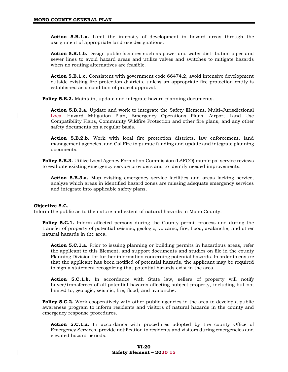**Action 5.B.1.a.** Limit the intensity of development in hazard areas through the assignment of appropriate land use designations.

**Action 5.B.1.b.** Design public facilities such as power and water distribution pipes and sewer lines to avoid hazard areas and utilize valves and switches to mitigate hazards when no routing alternatives are feasible.

**Action 5.B.1.c.** Consistent with government code 66474.2, avoid intensive development outside existing fire protection districts, unless an appropriate fire protection entity is established as a condition of project approval.

**Policy 5.B.2.** Maintain, update and integrate hazard planning documents.

**Action 5.B.2.a.** Update and work to integrate the Safety Element, Multi-Jurisdictional Local Hazard Mitigation Plan, Emergency Operations Plans, Airport Land Use Compatibility Plans, Community Wildfire Protection and other fire plans, and any other safety documents on a regular basis.

**Action 5.B.2.b.** Work with local fire protection districts, law enforcement, land management agencies, and Cal Fire to pursue funding and update and integrate planning documents.

**Policy 5.B.3.** Utilize Local Agency Formation Commission (LAFCO) municipal service reviews to evaluate existing emergency service providers and to identify needed improvements.

**Action 5.B.3.a.** Map existing emergency service facilities and areas lacking service, analyze which areas in identified hazard zones are missing adequate emergency services and integrate into applicable safety plans.

#### **Objective 5.C.**

Inform the public as to the nature and extent of natural hazards in Mono County.

**Policy 5.C.1.** Inform affected persons during the County permit process and during the transfer of property of potential seismic, geologic, volcanic, fire, flood, avalanche, and other natural hazards in the area.

**Action 5.C.1.a.** Prior to issuing planning or building permits in hazardous areas, refer the applicant to this Element, and support documents and studies on file in the county Planning Division for further information concerning potential hazards. In order to ensure that the applicant has been notified of potential hazards, the applicant may be required to sign a statement recognizing that potential hazards exist in the area.

**Action 5.C.1.b.** In accordance with State law, sellers of property will notify buyer/transferees of all potential hazards affecting subject property, including but not limited to, geologic, seismic, fire, flood, and avalanche.

**Policy 5.C.2.** Work cooperatively with other public agencies in the area to develop a public awareness program to inform residents and visitors of natural hazards in the county and emergency response procedures.

**Action 5.C.1.a.** In accordance with procedures adopted by the county Office of Emergency Services, provide notification to residents and visitors during emergencies and elevated hazard periods.

#### **VI-20 Safety Element – 2020 15**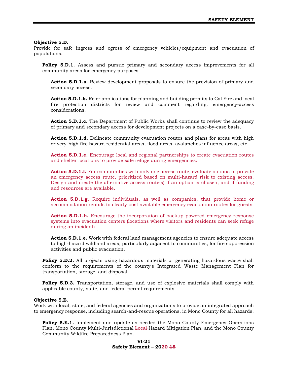#### **Objective 5.D.**

Provide for safe ingress and egress of emergency vehicles/equipment and evacuation of populations.

**Policy 5.D.1.** Assess and pursue primary and secondary access improvements for all community areas for emergency purposes.

**Action 5.D.1.a.** Review development proposals to ensure the provision of primary and secondary access.

**Action 5.D.1.b.** Refer applications for planning and building permits to Cal Fire and local fire protection districts for review and comment regarding, emergency-access considerations.

**Action 5.D.1.c.** The Department of Public Works shall continue to review the adequacy of primary and secondary access for development projects on a case-by-case basis.

**Action 5.D.1.d.** Delineate community evacuation routes and plans for areas with high or very-high fire hazard residential areas, flood areas, avalanches influence areas, etc.

**Action 5.D.1.e.** Encourage local and regional partnerships to create evacuation routes and shelter locations to provide safe refuge during emergencies.

**Action 5.D.1.f.** For communities with only one access route, evaluate options to provide an emergency access route, prioritized based on multi-hazard risk to existing access. Design and create the alternative access route(s) if an option is chosen, and if funding and resources are available.

**Action 5.D.1.g.** Require individuals, as well as companies, that provide home or accommodation rentals to clearly post available emergency evacuation routes for guests.

**Action 5.D.1.h.** Encourage the incorporation of backup powered emergency response systems into evacuation centers (locations where visitors and residents can seek refuge during an incident)

**Action 5.D.1.e.** Work with federal land management agencies to ensure adequate access to high-hazard wildland areas, particularly adjacent to communities, for fire suppression activities and public evacuation.

**Policy 5.D.2.** All projects using hazardous materials or generating hazardous waste shall conform to the requirements of the county's Integrated Waste Management Plan for transportation, storage, and disposal.

**Policy 5.D.3.** Transportation, storage, and use of explosive materials shall comply with applicable county, state, and federal permit requirements.

#### **Objective 5.E.**

Work with local, state, and federal agencies and organizations to provide an integrated approach to emergency response, including search-and-rescue operations, in Mono County for all hazards.

**Policy 5.E.1.** Implement and update as needed the Mono County Emergency Operations Plan, Mono County Multi-Jurisdictional Local Hazard Mitigation Plan, and the Mono County Community Wildfire Preparedness Plan.

#### **VI-21 Safety Element – 2020 15**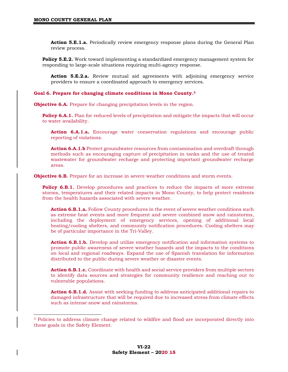**Action 5.E.1.a.** Periodically review emergency response plans during the General Plan review process.

**Policy 5.E.2.** Work toward implementing a standardized emergency management system for responding to large-scale situations requiring multi-agency response.

**Action 5.E.2.a.** Review mutual aid agreements with adjoining emergency service providers to ensure a coordinated approach to emergency services.

#### **Goal 6. Prepare for changing climate conditions in Mono County.<sup>3</sup>**

**Objective 6.A.** Prepare for changing precipitation levels in the region.

**Policy 6.A.1.** Plan for reduced levels of precipitation and mitigate the impacts that will occur to water availability.

**Action 6.A.1.a.** Encourage water conservation regulations and encourage public reporting of violations.

**Action 6.A.1.b** Protect groundwater resources from contamination and overdraft through methods such as encouraging capture of precipitation in tanks and the use of treated wastewater for groundwater recharge and protecting important groundwater recharge areas.

**Objective 6.B.** Prepare for an increase in severe weather conditions and storm events.

**Policy 6.B.1.** Develop procedures and practices to reduce the impacts of more extreme storms, temperatures and their related impacts in Mono County, to help protect residents from the health hazards associated with severe weather.

**Action 6.B.1.a.** Follow County procedures in the event of severe weather conditions such as extreme heat events and more frequent and severe combined snow and rainstorms, including the deployment of emergency services, opening of additional local heating/cooling shelters, and community notification procedures. Cooling shelters may be of particular importance in the Tri-Valley.

**Action 6.B.1.b.** Develop and utilize emergency notification and information systems to promote public awareness of severe weather hazards and the impacts to the conditions on local and regional roadways. Expand the use of Spanish translation for information distributed to the public during severe weather or disaster events.

**Action 6.B.1.c.** Coordinate with health and social service providers from multiple sectors to identify data sources and strategies for community resilience and reaching out to vulnerable populations.

**Action 6.B.1.d.** Assist with seeking funding to address anticipated additional repairs to damaged infrastructure that will be required due to increased stress from climate effects such as intense snow and rainstorms.

<sup>3</sup> Policies to address climate change related to wildfire and flood are incorporated directly into those goals in the Safety Element.